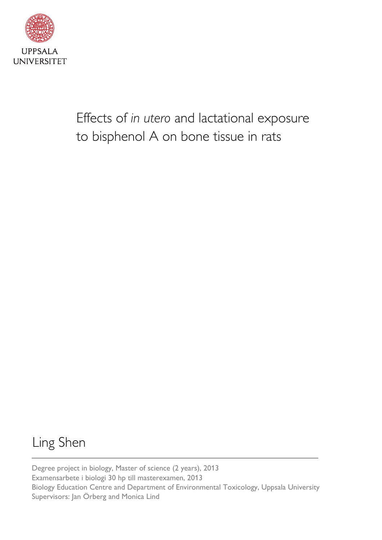

Effects of *in utero* and lactational exposure to bisphenol A on bone tissue in rats

# Ling Shen

Degree project in biology, Master of science (2 years), 2013 Examensarbete i biologi 30 hp till masterexamen, 2013 Biology Education Centre and Department of Environmental Toxicology, Uppsala University Supervisors: Jan Örberg and Monica Lind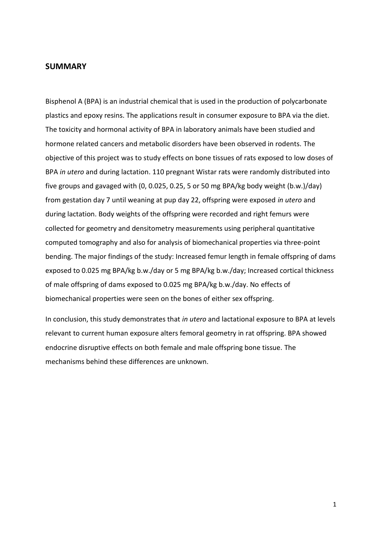## <span id="page-1-0"></span>**SUMMARY**

Bisphenol A (BPA) is an industrial chemical that is used in the production of polycarbonate plastics and epoxy resins. The applications result in consumer exposure to BPA via the diet. The toxicity and hormonal activity of BPA in laboratory animals have been studied and hormone related cancers and metabolic disorders have been observed in rodents. The objective of this project was to study effects on bone tissues of rats exposed to low doses of BPA *in utero* and during lactation. 110 pregnant Wistar rats were randomly distributed into five groups and gavaged with (0, 0.025, 0.25, 5 or 50 mg BPA/kg body weight (b.w.)/day) from gestation day 7 until weaning at pup day 22, offspring were exposed *in utero* and during lactation. Body weights of the offspring were recorded and right femurs were collected for geometry and densitometry measurements using peripheral quantitative computed tomography and also for analysis of biomechanical properties via three-point bending. The major findings of the study: Increased femur length in female offspring of dams exposed to 0.025 mg BPA/kg b.w./day or 5 mg BPA/kg b.w./day; Increased cortical thickness of male offspring of dams exposed to 0.025 mg BPA/kg b.w./day. No effects of biomechanical properties were seen on the bones of either sex offspring.

In conclusion, this study demonstrates that *in utero* and lactational exposure to BPA at levels relevant to current human exposure alters femoral geometry in rat offspring. BPA showed endocrine disruptive effects on both female and male offspring bone tissue. The mechanisms behind these differences are unknown.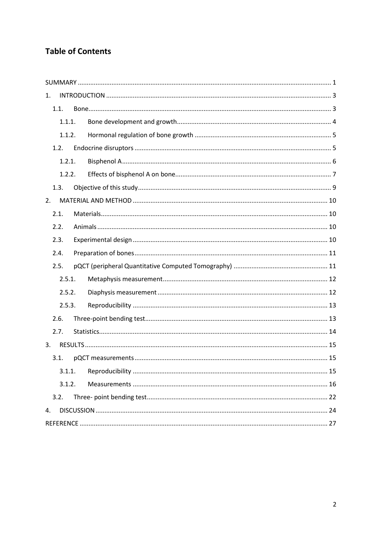## **Table of Contents**

| 1. |        |  |  |
|----|--------|--|--|
|    | 1.1.   |  |  |
|    | 1.1.1. |  |  |
|    | 1.1.2. |  |  |
|    | 1.2.   |  |  |
|    | 1.2.1. |  |  |
|    | 1.2.2. |  |  |
|    | 1.3.   |  |  |
| 2. |        |  |  |
|    | 2.1.   |  |  |
|    | 2.2.   |  |  |
|    | 2.3.   |  |  |
|    | 2.4.   |  |  |
|    | 2.5.   |  |  |
|    | 2.5.1. |  |  |
|    | 2.5.2. |  |  |
|    | 2.5.3. |  |  |
|    | 2.6.   |  |  |
|    | 2.7.   |  |  |
| 3. |        |  |  |
|    | 3.1.   |  |  |
|    | 3.1.1. |  |  |
|    | 3.1.2. |  |  |
|    | 3.2.   |  |  |
| 4. |        |  |  |
|    |        |  |  |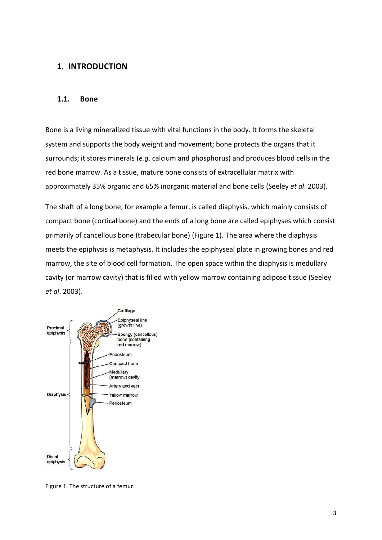## <span id="page-3-0"></span>**1. INTRODUCTION**

## <span id="page-3-1"></span>**1.1. Bone**

Bone is a living mineralized tissue with vital functions in the body. It forms the skeletal system and supports the body weight and movement; bone protects the organs that it surrounds; it stores minerals (*e.g*. calcium and phosphorus) and produces blood cells in the red bone marrow. As a tissue, mature bone consists of extracellular matrix with approximately 35% organic and 65% inorganic material and bone cells (Seeley *et al*. 2003).

The shaft of a long bone, for example a femur, is called diaphysis, which mainly consists of compact bone (cortical bone) and the ends of a long bone are called epiphyses which consist primarily of cancellous bone (trabecular bone) (Figure 1). The area where the diaphysis meets the epiphysis is metaphysis. It includes the epiphyseal plate in growing bones and red marrow, the site of blood cell formation. The open space within the diaphysis is medullary cavity (or marrow cavity) that is filled with yellow marrow containing adipose tissue (Seeley *et al*. 2003).



Figure 1. The structure of a femur.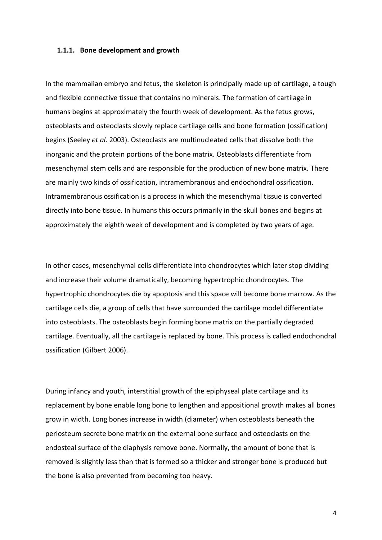#### <span id="page-4-0"></span>**1.1.1. Bone development and growth**

In the mammalian embryo and fetus, the skeleton is principally made up of cartilage, a tough and flexible connective tissue that contains no minerals. The formation of cartilage in humans begins at approximately the fourth week of development. As the fetus grows, osteoblasts and osteoclasts slowly replace cartilage cells and bone formation (ossification) begins (Seeley *et al*. 2003). Osteoclasts are multinucleated cells that dissolve both the inorganic and the protein portions of the bone matrix. Osteoblasts differentiate from mesenchymal stem cells and are responsible for the production of new bone matrix. There are mainly two kinds of ossification, intramembranous and endochondral ossification. Intramembranous ossification is a process in which the mesenchymal tissue is converted directly into bone tissue. In humans this occurs primarily in the skull bones and begins at approximately the eighth week of development and is completed by two years of age.

In other cases, mesenchymal cells differentiate into chondrocytes which later stop dividing and increase their volume dramatically, becoming hypertrophic chondrocytes. The hypertrophic chondrocytes die by apoptosis and this space will become bone marrow. As the cartilage cells die, a group of cells that have surrounded the cartilage model differentiate into osteoblasts. The osteoblasts begin forming bone matrix on the partially degraded cartilage. Eventually, all the cartilage is replaced by bone. This process is called endochondral ossification (Gilbert 2006).

During infancy and youth, interstitial growth of the epiphyseal plate cartilage and its replacement by bone enable long bone to lengthen and appositional growth makes all bones grow in width. Long bones increase in width (diameter) when osteoblasts beneath the periosteum secrete bone matrix on the external bone surface and osteoclasts on the endosteal surface of the diaphysis remove bone. Normally, the amount of bone that is removed is slightly less than that is formed so a thicker and stronger bone is produced but the bone is also prevented from becoming too heavy.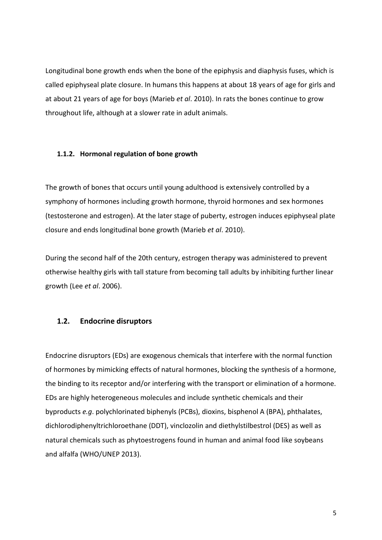Longitudinal bone growth ends when the bone of the epiphysis and diaphysis fuses, which is called epiphyseal plate closure. In humans this happens at about 18 years of age for girls and at about 21 years of age for boys (Marieb *et al*. 2010). In rats the bones continue to grow throughout life, although at a slower rate in adult animals.

#### <span id="page-5-0"></span>**1.1.2. Hormonal regulation of bone growth**

The growth of bones that occurs until young adulthood is extensively controlled by a symphony of hormones including growth hormone, thyroid hormones and sex hormones (testosterone and estrogen). At the later stage of puberty, estrogen induces epiphyseal plate closure and ends longitudinal bone growth (Marieb *et al*. 2010).

During the second half of the 20th century, estrogen therapy was administered to prevent otherwise healthy girls with tall stature from becoming tall adults by inhibiting further linear growth (Lee *et al*. 2006).

## <span id="page-5-1"></span>**1.2. Endocrine disruptors**

Endocrine disruptors (EDs) are exogenous chemicals that interfere with the normal function of hormones by mimicking effects of natural hormones, blocking the synthesis of a hormone, the binding to its receptor and/or interfering with the transport or elimination of a hormone. EDs are highly heterogeneous molecules and include synthetic chemicals and their byproducts *e.g*. polychlorinated biphenyls (PCBs), dioxins, bisphenol A (BPA), phthalates, dichlorodiphenyltrichloroethane (DDT), vinclozolin and diethylstilbestrol (DES) as well as natural chemicals such as phytoestrogens found in human and animal food like soybeans and alfalfa (WHO/UNEP 2013).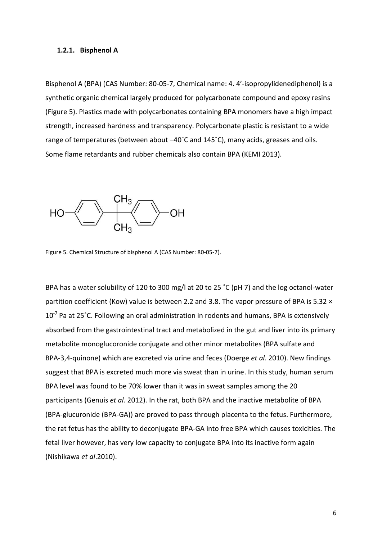#### <span id="page-6-0"></span>**1.2.1. Bisphenol A**

Bisphenol A (BPA) (CAS Number: 80-05-7, Chemical name: 4. 4'-isopropylidenediphenol) is a synthetic organic chemical largely produced for polycarbonate compound and epoxy resins (Figure 5). Plastics made with polycarbonates containing BPA monomers have a high impact strength, increased hardness and transparency. Polycarbonate plastic is resistant to a wide range of temperatures (between about –40˚C and 145˚C), many acids, greases and oils. Some flame retardants and rubber chemicals also contain BPA (KEMI 2013).



Figure 5. Chemical Structure of bisphenol A (CAS Number: 80-05-7).

BPA has a water solubility of 120 to 300 mg/l at 20 to 25 ˚C (pH 7) and the log octanol-water partition coefficient (Kow) value is between 2.2 and 3.8. The vapor pressure of BPA is 5.32  $\times$  $10^{-7}$  Pa at 25°C. Following an oral administration in rodents and humans, BPA is extensively absorbed from the gastrointestinal tract and metabolized in the gut and liver into its primary metabolite monoglucoronide conjugate and other minor metabolites (BPA sulfate and BPA-3,4-quinone) which are excreted via urine and feces (Doerge *et al*. 2010). New findings suggest that BPA is excreted much more via sweat than in urine. In this study, human serum BPA level was found to be 70% lower than it was in sweat samples among the 20 participants (Genuis *et al.* 2012). In the rat, both BPA and the inactive metabolite of BPA (BPA-glucuronide (BPA-GA)) are proved to pass through placenta to the fetus. Furthermore, the rat fetus has the ability to deconjugate BPA-GA into free BPA which causes toxicities. The fetal liver however, has very low capacity to conjugate BPA into its inactive form again (Nishikawa *et al*.2010).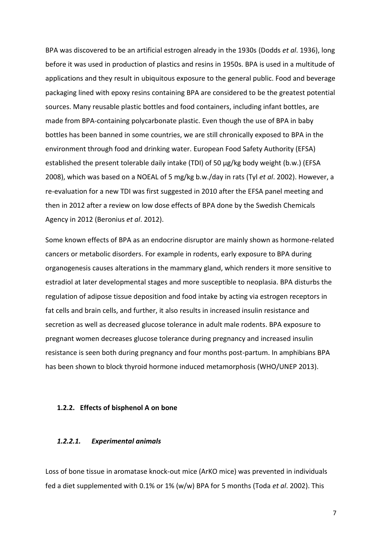BPA was discovered to be an artificial estrogen already in the 1930s (Dodds *et al*. 1936), long before it was used in production of plastics and resins in 1950s. BPA is used in a multitude of applications and they result in ubiquitous exposure to the general public. Food and beverage packaging lined with epoxy resins containing BPA are considered to be the greatest potential sources. Many reusable plastic bottles and food containers, including infant bottles, are made from BPA-containing polycarbonate plastic. Even though the use of BPA in baby bottles has been banned in some countries, we are still chronically exposed to BPA in the environment through food and drinking water. European Food Safety Authority (EFSA) established the present tolerable daily intake (TDI) of 50 µg/kg body weight (b.w.) (EFSA 2008), which was based on a NOEAL of 5 mg/kg b.w./day in rats (Tyl *et al*. 2002). However, a re-evaluation for a new TDI was first suggested in 2010 after the EFSA panel meeting and then in 2012 after a review on low dose effects of BPA done by the Swedish Chemicals Agency in 2012 (Beronius *et al*. 2012).

Some known effects of BPA as an endocrine disruptor are mainly shown as hormone-related cancers or metabolic disorders. For example in rodents, early exposure to BPA during organogenesis causes alterations in the mammary gland, which renders it more sensitive to estradiol at later developmental stages and more susceptible to neoplasia. BPA disturbs the regulation of adipose tissue deposition and food intake by acting via estrogen receptors in fat cells and brain cells, and further, it also results in increased insulin resistance and secretion as well as decreased glucose tolerance in adult male rodents. BPA exposure to pregnant women decreases glucose tolerance during pregnancy and increased insulin resistance is seen both during pregnancy and four months post-partum. In amphibians BPA has been shown to block thyroid hormone induced metamorphosis (WHO/UNEP 2013).

#### <span id="page-7-0"></span>**1.2.2. Effects of bisphenol A on bone**

#### *1.2.2.1. Experimental animals*

Loss of bone tissue in aromatase knock-out mice (ArKO mice) was prevented in individuals fed a diet supplemented with 0.1% or 1% (w/w) BPA for 5 months (Toda *et al*. 2002). This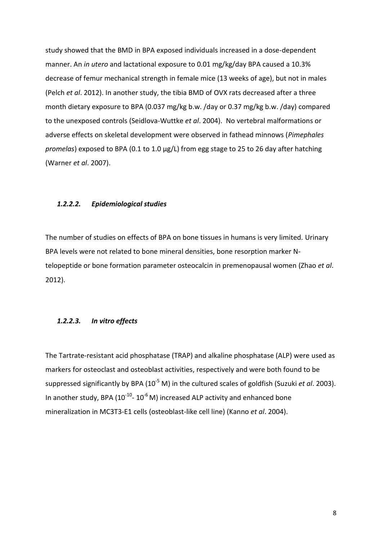study showed that the BMD in BPA exposed individuals increased in a dose-dependent manner. An *in utero* and lactational exposure to 0.01 mg/kg/day BPA caused a 10.3% decrease of femur mechanical strength in female mice (13 weeks of age), but not in males (Pelch *et al*. 2012). In another study, the tibia BMD of OVX rats decreased after a three month dietary exposure to BPA (0.037 mg/kg b.w. /day or 0.37 mg/kg b.w. /day) compared to the unexposed controls (Seidlova-Wuttke *et al*. 2004). No vertebral malformations or adverse effects on skeletal development were observed in fathead minnows (*Pimephales promelas*) exposed to BPA (0.1 to 1.0 µg/L) from egg stage to 25 to 26 day after hatching (Warner *et al*. 2007).

#### *1.2.2.2. Epidemiological studies*

The number of studies on effects of BPA on bone tissues in humans is very limited. Urinary BPA levels were not related to bone mineral densities, bone resorption marker Ntelopeptide or bone formation parameter osteocalcin in premenopausal women (Zhao *et al*. 2012).

## *1.2.2.3. In vitro effects*

The Tartrate-resistant acid phosphatase (TRAP) and alkaline phosphatase (ALP) were used as markers for osteoclast and osteoblast activities, respectively and were both found to be suppressed significantly by BPA (10<sup>-5</sup> M) in the cultured scales of goldfish (Suzuki *et al.* 2003). In another study, BPA ( $10^{-10}$ -  $10^{-6}$  M) increased ALP activity and enhanced bone mineralization in MC3T3-E1 cells (osteoblast-like cell line) (Kanno *et al*. 2004).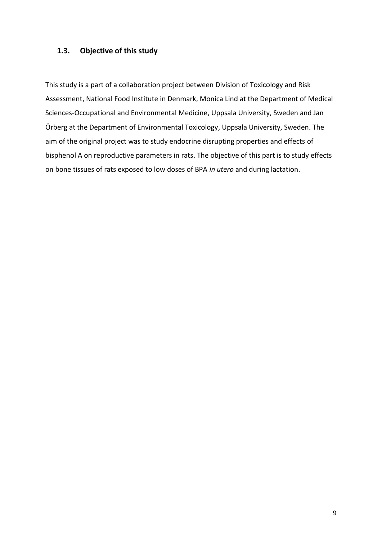## <span id="page-9-0"></span>**1.3. Objective of this study**

This study is a part of a collaboration project between Division of Toxicology and Risk Assessment, National Food Institute in Denmark, Monica Lind at the Department of Medical Sciences-Occupational and Environmental Medicine, Uppsala University, Sweden and Jan Örberg at the Department of Environmental Toxicology, Uppsala University, Sweden. The aim of the original project was to study endocrine disrupting properties and effects of bisphenol A on reproductive parameters in rats. The objective of this part is to study effects on bone tissues of rats exposed to low doses of BPA *in utero* and during lactation.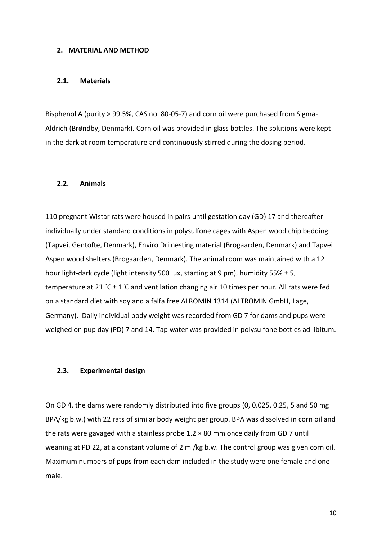#### <span id="page-10-0"></span>**2. MATERIAL AND METHOD**

#### <span id="page-10-1"></span>**2.1. Materials**

Bisphenol A (purity > 99.5%, CAS no. 80-05-7) and corn oil were purchased from Sigma-Aldrich [\(Brøndby,](http://en.wikipedia.org/wiki/Br%C3%B8ndby_IF) Denmark). Corn oil was provided in glass bottles. The solutions were kept in the dark at room temperature and continuously stirred during the dosing period.

#### <span id="page-10-2"></span>**2.2. Animals**

110 pregnant Wistar rats were housed in pairs until gestation day (GD) 17 and thereafter individually under standard conditions in polysulfone cages with Aspen wood chip bedding (Tapvei, Gentofte, Denmark), Enviro Dri nesting material (Brogaarden, Denmark) and Tapvei Aspen wood shelters (Brogaarden, Denmark). The animal room was maintained with a 12 hour light-dark cycle (light intensity 500 lux, starting at 9 pm), humidity 55%  $\pm$  5, temperature at 21 °C  $\pm$  1°C and ventilation changing air 10 times per hour. All rats were fed on a standard diet with soy and alfalfa free ALROMIN 1314 (ALTROMIN GmbH, Lage, Germany). Daily individual body weight was recorded from GD 7 for dams and pups were weighed on pup day (PD) 7 and 14. Tap water was provided in polysulfone bottles ad libitum.

#### <span id="page-10-3"></span>**2.3. Experimental design**

On GD 4, the dams were randomly distributed into five groups (0, 0.025, 0.25, 5 and 50 mg BPA/kg b.w.) with 22 rats of similar body weight per group. BPA was dissolved in corn oil and the rats were gavaged with a stainless probe  $1.2 \times 80$  mm once daily from GD 7 until weaning at PD 22, at a constant volume of 2 ml/kg b.w. The control group was given corn oil. Maximum numbers of pups from each dam included in the study were one female and one male.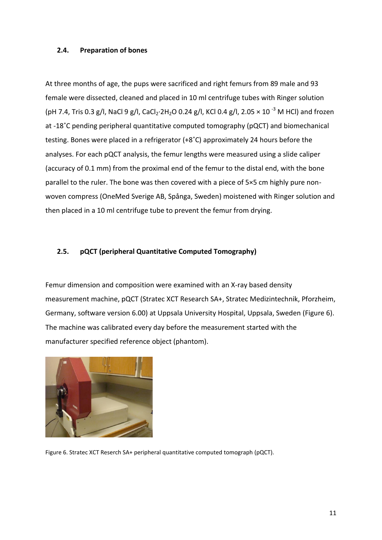## <span id="page-11-0"></span>**2.4. Preparation of bones**

At three months of age, the pups were sacrificed and right femurs from 89 male and 93 female were dissected, cleaned and placed in 10 ml centrifuge tubes with Ringer solution (pH 7.4, Tris 0.3 g/l, NaCl 9 g/l, CaCl<sub>2</sub>·2H<sub>2</sub>O 0.24 g/l, KCl 0.4 g/l, 2.05  $\times$  10<sup>-3</sup> M HCl) and frozen at -18˚C pending peripheral quantitative computed tomography (pQCT) and biomechanical testing. Bones were placed in a refrigerator (+8˚C) approximately 24 hours before the analyses. For each pQCT analysis, the femur lengths were measured using a slide caliper (accuracy of 0.1 mm) from the proximal end of the femur to the distal end, with the bone parallel to the ruler. The bone was then covered with a piece of 5×5 cm highly pure nonwoven compress (OneMed Sverige AB, Spånga, Sweden) moistened with Ringer solution and then placed in a 10 ml centrifuge tube to prevent the femur from drying.

## <span id="page-11-1"></span>**2.5. pQCT (peripheral Quantitative Computed Tomography)**

Femur dimension and composition were examined with an X-ray based density measurement machine, pQCT (Stratec XCT Research SA+, Stratec Medizintechnik, Pforzheim, Germany, software version 6.00) at Uppsala University Hospital, Uppsala, Sweden (Figure 6). The machine was calibrated every day before the measurement started with the manufacturer specified reference object (phantom).



Figure 6. Stratec XCT Reserch SA+ peripheral quantitative computed tomograph (pQCT).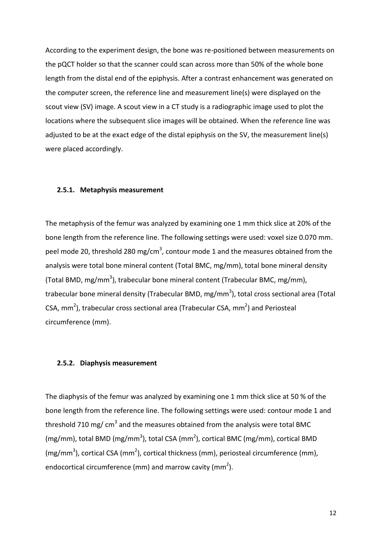According to the experiment design, the bone was re-positioned between measurements on the pQCT holder so that the scanner could scan across more than 50% of the whole bone length from the distal end of the epiphysis. After a contrast enhancement was generated on the computer screen, the reference line and measurement line(s) were displayed on the scout view (SV) image. A scout view in a CT study is a radiographic image used to plot the locations where the subsequent slice images will be obtained. When the reference line was adjusted to be at the exact edge of the distal epiphysis on the SV, the measurement line(s) were placed accordingly.

#### <span id="page-12-0"></span>**2.5.1. Metaphysis measurement**

The metaphysis of the femur was analyzed by examining one 1 mm thick slice at 20% of the bone length from the reference line. The following settings were used: voxel size 0.070 mm. peel mode 20, threshold 280 mg/cm<sup>3</sup>, contour mode 1 and the measures obtained from the analysis were total bone mineral content (Total BMC, mg/mm), total bone mineral density (Total BMD, mg/mm<sup>3</sup>), trabecular bone mineral content (Trabecular BMC, mg/mm), trabecular bone mineral density (Trabecular BMD, mg/mm<sup>3</sup>), total cross sectional area (Total CSA,  $mm<sup>2</sup>$ ), trabecular cross sectional area (Trabecular CSA,  $mm<sup>2</sup>$ ) and Periosteal circumference (mm).

#### <span id="page-12-1"></span>**2.5.2. Diaphysis measurement**

The diaphysis of the femur was analyzed by examining one 1 mm thick slice at 50 % of the bone length from the reference line. The following settings were used: contour mode 1 and threshold 710 mg/ cm<sup>3</sup> and the measures obtained from the analysis were total BMC (mg/mm), total BMD (mg/mm<sup>3</sup>), total CSA (mm<sup>2</sup>), cortical BMC (mg/mm), cortical BMD (mg/mm<sup>3</sup>), cortical CSA (mm<sup>2</sup>), cortical thickness (mm), periosteal circumference (mm), endocortical circumference (mm) and marrow cavity (mm<sup>2</sup>).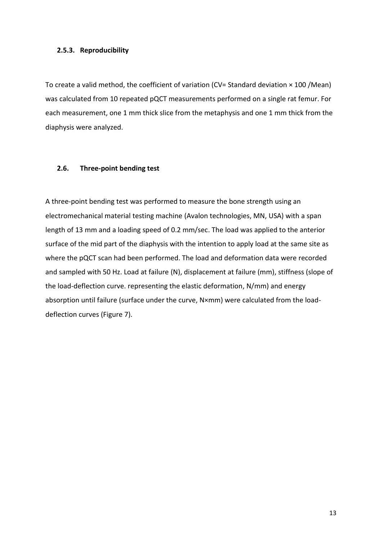## <span id="page-13-0"></span>**2.5.3. Reproducibility**

To create a valid method, the coefficient of variation (CV= Standard deviation × 100 /Mean) was calculated from 10 repeated pQCT measurements performed on a single rat femur. For each measurement, one 1 mm thick slice from the metaphysis and one 1 mm thick from the diaphysis were analyzed.

## <span id="page-13-1"></span>**2.6. Three-point bending test**

A three-point bending test was performed to measure the bone strength using an electromechanical material testing machine (Avalon technologies, MN, USA) with a span length of 13 mm and a loading speed of 0.2 mm/sec. The load was applied to the anterior surface of the mid part of the diaphysis with the intention to apply load at the same site as where the pQCT scan had been performed. The load and deformation data were recorded and sampled with 50 Hz. Load at failure (N), displacement at failure (mm), stiffness (slope of the load-deflection curve. representing the elastic deformation, N/mm) and energy absorption until failure (surface under the curve, N×mm) were calculated from the loaddeflection curves (Figure 7).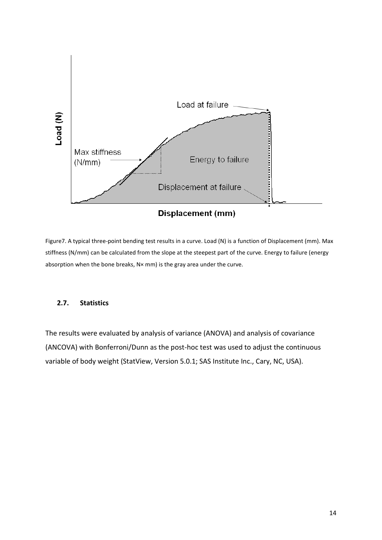

Figure7. A typical three-point bending test results in a curve. Load (N) is a function of Displacement (mm). Max stiffness (N/mm) can be calculated from the slope at the steepest part of the curve. Energy to failure (energy absorption when the bone breaks, N× mm) is the gray area under the curve.

## <span id="page-14-0"></span>**2.7. Statistics**

The results were evaluated by analysis of variance (ANOVA) and analysis of covariance (ANCOVA) with Bonferroni/Dunn as the post-hoc test was used to adjust the continuous variable of body weight (StatView, Version 5.0.1; SAS Institute Inc., Cary, NC, USA).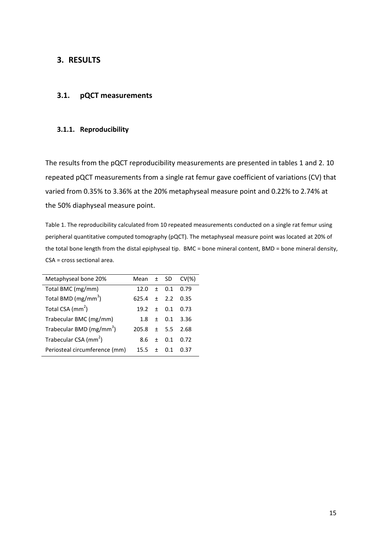## <span id="page-15-0"></span>**3. RESULTS**

## <span id="page-15-1"></span>**3.1. pQCT measurements**

## <span id="page-15-2"></span>**3.1.1. Reproducibility**

The results from the pQCT reproducibility measurements are presented in tables 1 and 2. 10 repeated pQCT measurements from a single rat femur gave coefficient of variations (CV) that varied from 0.35% to 3.36% at the 20% metaphyseal measure point and 0.22% to 2.74% at the 50% diaphyseal measure point.

Table 1. The reproducibility calculated from 10 repeated measurements conducted on a single rat femur using peripheral quantitative computed tomography (pQCT). The metaphyseal measure point was located at 20% of the total bone length from the distal epiphyseal tip. BMC = bone mineral content, BMD = bone mineral density, CSA = cross sectional area.

| Metaphyseal bone 20%                 | Mean $\pm$ SD |             | $CV(\%)$ |
|--------------------------------------|---------------|-------------|----------|
| Total BMC (mg/mm)                    | 12.0          | $\pm$ 0.1   | 0.79     |
| Total BMD ( $mg/mm^3$ )              | 625.4         | $+$ 22      | 0.35     |
| Total CSA (mm <sup>2</sup> )         | $19.2 + 0.1$  |             | 0.73     |
| Trabecular BMC (mg/mm)               |               | $1.8 + 0.1$ | - 3.36   |
| Trabecular BMD (mg/mm <sup>3</sup> ) | 205.8         | $+ 5.5$     | 2.68     |
| Trabecular CSA (mm <sup>2</sup> )    | 8.6           | $+$ 0.1     | 0.72     |
| Periosteal circumference (mm)        | $15.5 +$      | O 1         | 0.37     |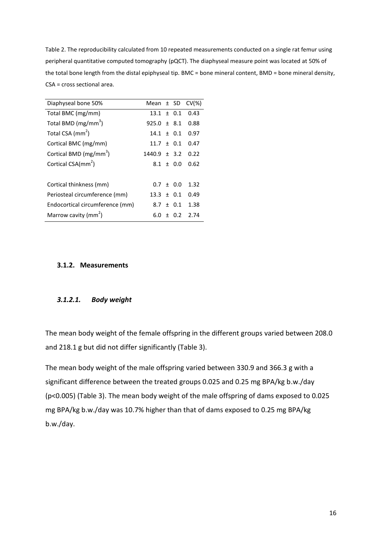Table 2. The reproducibility calculated from 10 repeated measurements conducted on a single rat femur using peripheral quantitative computed tomography (pQCT). The diaphyseal measure point was located at 50% of the total bone length from the distal epiphyseal tip. BMC = bone mineral content, BMD = bone mineral density, CSA = cross sectional area.

| Diaphyseal bone 50%                |                  |             | Mean $\pm$ SD CV(%) |
|------------------------------------|------------------|-------------|---------------------|
| Total BMC (mg/mm)                  | $13.1 \pm 0.1$   |             | 0.43                |
| Total BMD (mg/mm <sup>3</sup> )    | $925.0 \pm 8.1$  |             | 0.88                |
| Total CSA (mm <sup>2</sup> )       | $14.1 \pm 0.1$   |             | 0.97                |
| Cortical BMC (mg/mm)               | $11.7 \pm 0.1$   |             | 0.47                |
| Cortical BMD (mg/mm <sup>3</sup> ) | $1440.9 \pm 3.2$ |             | 0.22                |
| Cortical CSA(mm <sup>2</sup> )     |                  | $8.1 + 0.0$ | 0.62                |
|                                    |                  |             |                     |
| Cortical thinkness (mm)            |                  | $0.7 + 0.0$ | 1.32                |
| Periosteal circumference (mm)      | $13.3 \pm 0.1$   |             | 0.49                |
| Endocortical circumference (mm)    |                  | $8.7 + 0.1$ | 1.38                |
| Marrow cavity (mm <sup>2</sup> )   | 6.0              | $+ 0.2$     | 2.74                |
|                                    |                  |             |                     |

## <span id="page-16-0"></span>**3.1.2. Measurements**

## *3.1.2.1. Body weight*

The mean body weight of the female offspring in the different groups varied between 208.0 and 218.1 g but did not differ significantly (Table 3).

The mean body weight of the male offspring varied between 330.9 and 366.3 g with a significant difference between the treated groups 0.025 and 0.25 mg BPA/kg b.w./day (p<0.005) (Table 3). The mean body weight of the male offspring of dams exposed to 0.025 mg BPA/kg b.w./day was 10.7% higher than that of dams exposed to 0.25 mg BPA/kg b.w./day.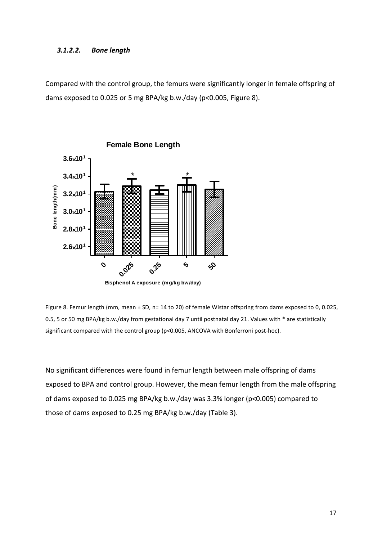#### *3.1.2.2. Bone length*

Compared with the control group, the femurs were significantly longer in female offspring of dams exposed to 0.025 or 5 mg BPA/kg b.w./day (p<0.005, Figure 8).



Figure 8. Femur length (mm, mean ± SD, n= 14 to 20) of female Wistar offspring from dams exposed to 0, 0.025, 0.5, 5 or 50 mg BPA/kg b.w./day from gestational day 7 until postnatal day 21. Values with \* are statistically significant compared with the control group (p<0.005, ANCOVA with Bonferroni post-hoc).

No significant differences were found in femur length between male offspring of dams exposed to BPA and control group. However, the mean femur length from the male offspring of dams exposed to 0.025 mg BPA/kg b.w./day was 3.3% longer (p<0.005) compared to those of dams exposed to 0.25 mg BPA/kg b.w./day (Table 3).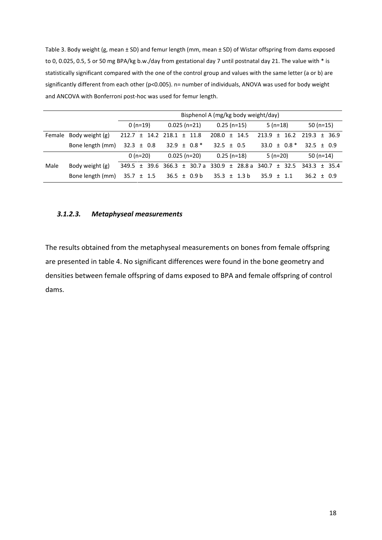Table 3. Body weight (g, mean ± SD) and femur length (mm, mean ± SD) of Wistar offspring from dams exposed to 0, 0.025, 0.5, 5 or 50 mg BPA/kg b.w./day from gestational day 7 until postnatal day 21. The value with \* is statistically significant compared with the one of the control group and values with the same letter (a or b) are significantly different from each other (p<0.005). n= number of individuals, ANOVA was used for body weight and ANCOVA with Bonferroni post-hoc was used for femur length.

|        |                  |                |                             |                  |                  |  | Bisphenol A (mg/kg body weight/day)                                     |            |                             |                  |  |  |  |
|--------|------------------|----------------|-----------------------------|------------------|------------------|--|-------------------------------------------------------------------------|------------|-----------------------------|------------------|--|--|--|
|        |                  | $0(n=19)$      |                             | $0.025(n=21)$    | $0.25(n=15)$     |  |                                                                         | $5(n=18)$  |                             | 50 $(n=15)$      |  |  |  |
| Female | Body weight (g)  | 212.7          | $\pm$ 14.2 218.1 $\pm$ 11.8 |                  | $208.0 \pm 14.5$ |  |                                                                         | $213.9 +$  | 16.2                        | $219.3 + 36.9$   |  |  |  |
|        | Bone length (mm) | $32.3 \pm 0.8$ |                             | $32.9 \pm 0.8$ * | $32.5 \pm 0.5$   |  |                                                                         |            | $33.0 \pm 0.8$ <sup>*</sup> | $32.5 \pm 0.9$   |  |  |  |
|        |                  | $0(n=20)$      |                             | $0.025(n=20)$    |                  |  | $0.25$ (n=18)                                                           | $5(n=20)$  |                             | 50 $(n=14)$      |  |  |  |
| Male   | Body weight (g)  |                |                             |                  |                  |  | $349.5 \pm 39.6$ 366.3 $\pm$ 30.7 a 330.9 $\pm$ 28.8 a 340.7 $\pm$ 32.5 |            |                             | $343.3 \pm 35.4$ |  |  |  |
|        | Bone length (mm) | $35.7 \pm 1.5$ |                             | $36.5 \pm 0.9 b$ |                  |  | $35.3 \pm 1.3 b$                                                        | 35.9 $\pm$ | 11                          | $36.2 \pm 0.9$   |  |  |  |

#### *3.1.2.3. Metaphyseal measurements*

The results obtained from the metaphyseal measurements on bones from female offspring are presented in table 4. No significant differences were found in the bone geometry and densities between female offspring of dams exposed to BPA and female offspring of control dams.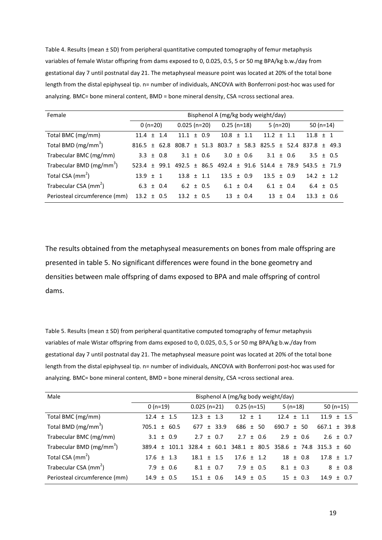Table 4. Results (mean ± SD) from peripheral quantitative computed tomography of femur metaphysis variables of female Wistar offspring from dams exposed to 0, 0.025, 0.5, 5 or 50 mg BPA/kg b.w./day from gestational day 7 until postnatal day 21. The metaphyseal measure point was located at 20% of the total bone length from the distal epiphyseal tip. n= number of individuals, ANCOVA with Bonferroni post-hoc was used for analyzing. BMC= bone mineral content, BMD = bone mineral density, CSA =cross sectional area.

| Female                               | Bisphenol A (mg/kg body weight/day) |           |     |                |                |               |                |              |               |                                                                     |           |              |                |  |             |
|--------------------------------------|-------------------------------------|-----------|-----|----------------|----------------|---------------|----------------|--------------|---------------|---------------------------------------------------------------------|-----------|--------------|----------------|--|-------------|
|                                      |                                     | $0(n=20)$ |     |                | $0.025$ (n=20) |               |                | $0.25(n=18)$ |               |                                                                     | $5(n=20)$ |              |                |  | 50 $(n=14)$ |
| Total BMC (mg/mm)                    | $11.4 +$                            |           | 1.4 | 11.1           |                | $\pm$ 0.9     | $10.8 \pm 1.1$ |              |               | $11.2 \pm 1.1$                                                      |           |              | $11.8 \pm 1$   |  |             |
| Total BMD ( $mg/mm^3$ )              | $816.5 \pm 62.8$                    |           |     | 808.7          |                | ± 51.3        |                |              |               | $803.7 \pm 58.3$ $825.5 \pm 52.4$ $837.8 \pm 49.3$                  |           |              |                |  |             |
| Trabecular BMC (mg/mm)               | $3.3 \pm 0.8$                       |           |     |                |                | $3.1 \pm 0.6$ |                |              | $3.0 \pm 0.6$ | $3.1 \pm 0.6$                                                       |           |              | $3.5 \pm 0.5$  |  |             |
| Trabecular BMD (mg/mm <sup>3</sup> ) | $523.4 + 99.1$                      |           |     |                |                |               |                |              |               | $492.5 \pm 86.5$ $492.4 \pm 91.6$ $514.4 \pm 78.9$ $543.5 \pm 71.9$ |           |              |                |  |             |
| Total CSA (mm <sup>2</sup> )         | $13.9 \pm 1$                        |           |     | $13.8 \pm 1.1$ |                |               | $13.5 + 0.9$   |              |               | $13.5 \pm 0.9$                                                      |           |              | $14.2 \pm 1.2$ |  |             |
| Trabecular CSA (mm <sup>2</sup> )    | $6.3 \pm 0.4$                       |           |     | $6.2 \pm 0.5$  |                |               | $6.1 \pm 0.4$  |              |               | $6.1 \pm 0.4$                                                       |           |              | $6.4 \pm 0.5$  |  |             |
| Periosteal circumference (mm)        | $13.2 \pm 0.5$                      |           |     | $13.2 \pm 0.5$ |                |               |                |              | $13 \pm 0.4$  |                                                                     |           | $13 \pm 0.4$ | $13.3 \pm 0.6$ |  |             |

The results obtained from the metaphyseal measurements on bones from male offspring are presented in table 5. No significant differences were found in the bone geometry and densities between male offspring of dams exposed to BPA and male offspring of control dams.

Table 5. Results (mean ± SD) from peripheral quantitative computed tomography of femur metaphysis variables of male Wistar offspring from dams exposed to 0, 0.025, 0.5, 5 or 50 mg BPA/kg b.w./day from gestational day 7 until postnatal day 21. The metaphyseal measure point was located at 20% of the total bone length from the distal epiphyseal tip. n= number of individuals, ANCOVA with Bonferroni post-hoc was used for analyzing. BMC= bone mineral content, BMD = bone mineral density, CSA =cross sectional area.

| Male                                 | Bisphenol A (mg/kg body weight/day) |                  |                                          |                                                  |                  |  |  |  |  |  |  |  |  |  |  |
|--------------------------------------|-------------------------------------|------------------|------------------------------------------|--------------------------------------------------|------------------|--|--|--|--|--|--|--|--|--|--|
|                                      | $0(n=19)$                           | $0.025$ (n=21)   | $0.25$ (n=15)                            | $5(n=18)$                                        | 50 $(n=15)$      |  |  |  |  |  |  |  |  |  |  |
| Total BMC (mg/mm)                    | $12.4 \pm 1.5$                      | $12.3 \pm 1.3$   | 12 <sup>2</sup><br>$+$<br>$\overline{1}$ | $12.4 \pm 1.1$                                   | $11.9 \pm 1.5$   |  |  |  |  |  |  |  |  |  |  |
| Total BMD (mg/mm <sup>3</sup> )      | $705.1 \pm 60.5$                    | $±$ 33.9<br>677  | ± 50<br>686                              | 690.7<br>50<br>$+$                               | $667.1 \pm 39.8$ |  |  |  |  |  |  |  |  |  |  |
| Trabecular BMC (mg/mm)               | $3.1 \pm 0.9$                       | $2.7 +$<br>0.7   | 27<br>$±$ 0.6                            | $2.9 +$<br>0.6                                   | $2.6 \pm 0.7$    |  |  |  |  |  |  |  |  |  |  |
| Trabecular BMD (mg/mm <sup>3</sup> ) | $+$ 101.1<br>389.4                  | $328.4 \pm 60.1$ |                                          | $348.1 \pm 80.5$ 358.6 $\pm$ 74.8 315.3 $\pm$ 60 |                  |  |  |  |  |  |  |  |  |  |  |
| Total CSA $\text{(mm}^2)$            | $17.6 \pm 1.3$                      | $18.1 \pm 1.5$   | $17.6 + 1.2$                             | $18 \pm 0.8$                                     | $17.8 \pm 1.7$   |  |  |  |  |  |  |  |  |  |  |
| Trabecular CSA (mm <sup>2</sup> )    | $7.9 \pm 0.6$                       | $8.1 \pm 0.7$    | $7.9 \pm 0.5$                            | $8.1 \pm 0.3$                                    | $8 \pm 0.8$      |  |  |  |  |  |  |  |  |  |  |
| Periosteal circumference (mm)        | $14.9 \pm 0.5$                      | $15.1 \pm 0.6$   | $14.9 + 0.5$                             | $15 \pm 0.3$                                     | $14.9 \pm 0.7$   |  |  |  |  |  |  |  |  |  |  |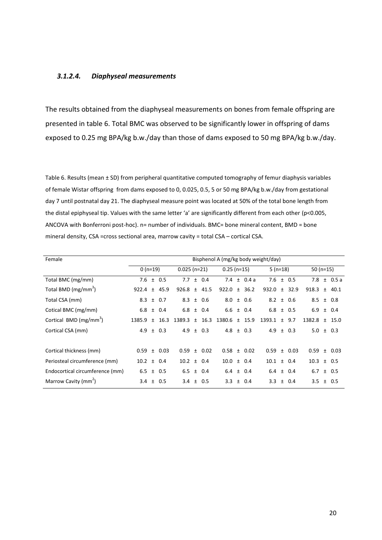#### *3.1.2.4. Diaphyseal measurements*

The results obtained from the diaphyseal measurements on bones from female offspring are presented in table 6. Total BMC was observed to be significantly lower in offspring of dams exposed to 0.25 mg BPA/kg b.w./day than those of dams exposed to 50 mg BPA/kg b.w./day.

Table 6. Results (mean ± SD) from peripheral quantitative computed tomography of femur diaphysis variables of female Wistar offspring from dams exposed to 0, 0.025, 0.5, 5 or 50 mg BPA/kg b.w./day from gestational day 7 until postnatal day 21. The diaphyseal measure point was located at 50% of the total bone length from the distal epiphyseal tip. Values with the same letter 'a' are significantly different from each other (p<0.005, ANCOVA with Bonferroni post-hoc). n= number of individuals. BMC= bone mineral content, BMD = bone mineral density, CSA =cross sectional area, marrow cavity = total CSA – cortical CSA.

| Female                             |                |           |          |                  |       |                |                  |       |                 | Bisphenol A (mg/kg body weight/day) |       |           |                  |  |                 |
|------------------------------------|----------------|-----------|----------|------------------|-------|----------------|------------------|-------|-----------------|-------------------------------------|-------|-----------|------------------|--|-----------------|
|                                    |                | $0(n=19)$ |          |                  |       | $0.025$ (n=21) |                  |       | $0.25$ (n=15)   |                                     |       | $5(n=18)$ |                  |  | 50 $(n=15)$     |
| Total BMC (mg/mm)                  | $7.6 \pm 0.5$  |           |          | 7.7              |       | ± 0.4          |                  |       | 7.4 $\pm$ 0.4 a | 7.6 $\pm$ 0.5                       |       |           |                  |  | 7.8 $\pm$ 0.5 a |
| Total BMD (mg/mm <sup>3</sup> )    | 922.4 $\pm$    |           | 45.9     | $926.8 \pm 41.5$ |       |                | $922.0 \pm 36.2$ |       |                 | $932.0 \pm 32.9$                    |       |           | $918.3 \pm 40.1$ |  |                 |
| Total CSA (mm)                     | 8.3 $\pm$      |           | 0.7      | 8.3              |       | $±$ 0.6        | $8.0 \pm 0.6$    |       |                 | $8.2 \pm 0.6$                       |       |           | $8.5 \pm 0.8$    |  |                 |
| Cotical BMC (mg/mm)                | 6.8 $\pm$      |           | 0.4      | $6.8 \pm 0.4$    |       |                | $6.6 \pm 0.4$    |       |                 | $6.8 \pm 0.5$                       |       |           | 6.9              |  | $±$ 0.4         |
| Cortical BMD (mg/mm <sup>3</sup> ) | 1385.9         | $+$       | 16.3     | 1389.3           | $+$   | 16.3           | 1380.6           | $\pm$ | 15.9            | 1393.1                              | $+$   | 9.7       | 1382.8           |  | $±$ 15.0        |
| Cortical CSA (mm)                  | 4.9            | $\pm$     | 0.3      | 4.9              | $\pm$ | 0.3            | 4.8 $\pm$ 0.3    |       |                 | 4.9                                 | $\pm$ | 0.3       | 5.0              |  | $\pm$ 0.3       |
|                                    |                |           |          |                  |       |                |                  |       |                 |                                     |       |           |                  |  |                 |
| Cortical thickness (mm)            | 0.59           |           | $±$ 0.03 | $0.59 \pm 0.02$  |       |                | $0.58 \pm 0.02$  |       |                 | 0.59                                |       | ± 0.03    | $0.59 \pm 0.03$  |  |                 |
| Periosteal circumference (mm)      | $10.2 \pm 0.4$ |           |          | $10.2 \pm 0.4$   |       |                | $10.0 \pm 0.4$   |       |                 | $10.1 \pm 0.4$                      |       |           | $10.3 \pm 0.5$   |  |                 |
| Endocortical circumference (mm)    | $6.5 \pm 0.5$  |           |          | 6.5              |       | ± 0.4          |                  |       | $6.4 \pm 0.4$   | $6.4 \pm 0.4$                       |       |           | 6.7              |  | $±$ 0.5         |
| Marrow Cavity (mm <sup>2</sup> )   | 3.4 $\pm$      |           | 0.5      | 3.4 $\pm$        |       | 0.5            |                  |       | $3.3 \pm 0.4$   | 3.3                                 | $\pm$ | 0.4       | 3.5              |  | $\pm$ 0.5       |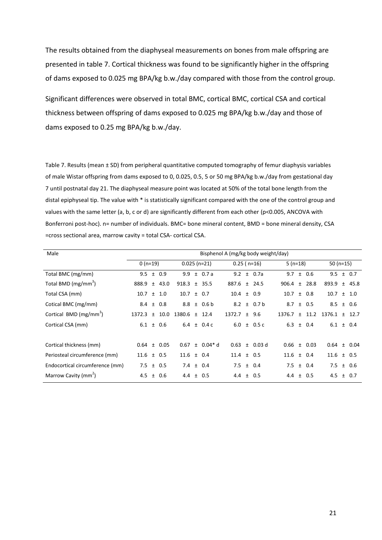The results obtained from the diaphyseal measurements on bones from male offspring are presented in table 7. Cortical thickness was found to be significantly higher in the offspring of dams exposed to 0.025 mg BPA/kg b.w./day compared with those from the control group.

Significant differences were observed in total BMC, cortical BMC, cortical CSA and cortical thickness between offspring of dams exposed to 0.025 mg BPA/kg b.w./day and those of dams exposed to 0.25 mg BPA/kg b.w./day.

Table 7. Results (mean ± SD) from peripheral quantitative computed tomography of femur diaphysis variables of male Wistar offspring from dams exposed to 0, 0.025, 0.5, 5 or 50 mg BPA/kg b.w./day from gestational day 7 until postnatal day 21. The diaphyseal measure point was located at 50% of the total bone length from the distal epiphyseal tip. The value with \* is statistically significant compared with the one of the control group and values with the same letter (a, b, c or d) are significantly different from each other (p<0.005, ANCOVA with Bonferroni post-hoc). n= number of individuals. BMC= bone mineral content, BMD = bone mineral density, CSA =cross sectional area, marrow cavity = total CSA- cortical CSA.

| Male                               |                |       |                 |                  |                     |                  | Bisphenol A (mg/kg body weight/day) |                  |                 |                  |          |
|------------------------------------|----------------|-------|-----------------|------------------|---------------------|------------------|-------------------------------------|------------------|-----------------|------------------|----------|
|                                    | $0(n=19)$      |       |                 |                  | $0.025$ (n=21)      | $0.25$ (n=16)    |                                     | $5(n=18)$        |                 | 50 $(n=15)$      |          |
| Total BMC (mg/mm)                  | 9.5            | $\pm$ | 0.9             | $9.9^{\circ}$    | $±$ 0.7 a           |                  | 9.2 $\pm$ 0.7a                      |                  | $9.7 \pm 0.6$   | 9.5              | $±$ 0.7  |
| Total BMD (mg/mm <sup>3</sup> )    | 888.9 $\pm$    |       | 43.0            | $918.3 \pm 35.5$ |                     | $887.6 \pm 24.5$ |                                     | $906.4 \pm 28.8$ |                 | $893.9 \pm 45.8$ |          |
| Total CSA (mm)                     | 10.7           | $\pm$ | 1.0             | $10.7 \pm 0.7$   |                     | $10.4 \pm 0.9$   |                                     | $10.7 \pm 0.8$   |                 | $10.7 \pm 1.0$   |          |
| Cotical BMC (mg/mm)                | 8.4            | $\pm$ | 0.8             |                  | $8.8 \pm 0.6$ b     |                  | $8.2 \pm 0.7$ b                     |                  | $8.7 \pm 0.5$   | 8.5              | ± 0.6    |
| Cortical BMD (mg/mm <sup>3</sup> ) | 1372.3         | $+$   | 10.0            | $1380.6 \pm$     | 12.4                | $1372.7 \pm$     | 9.6                                 | 1376.7           | $±$ 11.2        | 1376.1           | $±$ 12.7 |
| Cortical CSA (mm)                  | 6.1            | $\pm$ | 0.6             |                  | 6.4 $\pm$ 0.4 c     |                  | 6.0 $\pm$ 0.5 c                     |                  | $6.3 \pm 0.4$   | $6.1 \pm 0.4$    |          |
|                                    |                |       |                 |                  |                     |                  |                                     |                  |                 |                  |          |
| Cortical thickness (mm)            |                |       | $0.64 \pm 0.05$ |                  | $0.67 \pm 0.04$ * d |                  | $0.63 \pm 0.03$ d                   |                  | $0.66 \pm 0.03$ | $0.64 \pm 0.04$  |          |
| Periosteal circumference (mm)      | $11.6 \pm 0.5$ |       |                 | $11.6 \pm 0.4$   |                     | $11.4 \pm 0.5$   |                                     | $11.6 \pm 0.4$   |                 | $11.6 \pm 0.5$   |          |
| Endocortical circumference (mm)    | 7.5            |       | $±$ 0.5         | 7.4 $\pm$ 0.4    |                     | 7.5 $\pm$ 0.4    |                                     |                  | $7.5 \pm 0.4$   | 7.5              | ± 0.6    |
| Marrow Cavity (mm <sup>2</sup> )   | 4.5            | $\pm$ | 0.6             | 4.4 $\pm$ 0.5    |                     | 4.4 $\pm$        | 0.5                                 |                  | 4.4 $\pm$ 0.5   | 4.5              | ± 0.7    |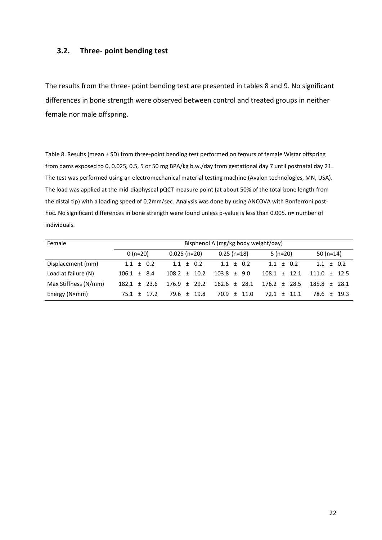## <span id="page-22-0"></span>**3.2. Three- point bending test**

The results from the three- point bending test are presented in tables 8 and 9. No significant differences in bone strength were observed between control and treated groups in neither female nor male offspring.

Table 8. Results (mean  $\pm$  SD) from three-point bending test performed on femurs of female Wistar offspring from dams exposed to 0, 0.025, 0.5, 5 or 50 mg BPA/kg b.w./day from gestational day 7 until postnatal day 21. The test was performed using an electromechanical material testing machine (Avalon technologies, MN, USA). The load was applied at the mid-diaphyseal pQCT measure point (at about 50% of the total bone length from the distal tip) with a loading speed of 0.2mm/sec. Analysis was done by using ANCOVA with Bonferroni posthoc. No significant differences in bone strength were found unless p-value is less than 0.005. n= number of individuals.

| Female               |                  | Bisphenol A (mg/kg body weight/day) |                  |                  |                  |  |  |  |  |  |  |  |  |  |  |  |
|----------------------|------------------|-------------------------------------|------------------|------------------|------------------|--|--|--|--|--|--|--|--|--|--|--|
|                      | $0(n=20)$        | $0.025(n=20)$                       | $0.25$ (n=18)    | $5(n=20)$        | 50 $(n=14)$      |  |  |  |  |  |  |  |  |  |  |  |
| Displacement (mm)    | $1.1 \pm 0.2$    | $1.1 \pm 0.2$                       | $1.1 + 0.2$      | $1.1 + 0.2$      | $1.1 + 0.2$      |  |  |  |  |  |  |  |  |  |  |  |
| Load at failure (N)  | $106.1 \pm 8.4$  | 10.2<br>$108.2 \pm$                 | $103.8 \pm 9.0$  | $108.1 \pm 12.1$ | $111.0 + 12.5$   |  |  |  |  |  |  |  |  |  |  |  |
| Max Stiffness (N/mm) | $182.1 \pm 23.6$ | 29.2<br>$176.9 +$                   | $162.6 \pm 28.1$ | $176.2 + 28.5$   | $185.8 + 28.1$   |  |  |  |  |  |  |  |  |  |  |  |
| Energy (N×mm)        | $75.1 + 17.2$    | $79.6 \pm$<br>19.8                  | $70.9 + 11.0$    | $72.1 + 11.1$    | 78.6 +<br>- 19.3 |  |  |  |  |  |  |  |  |  |  |  |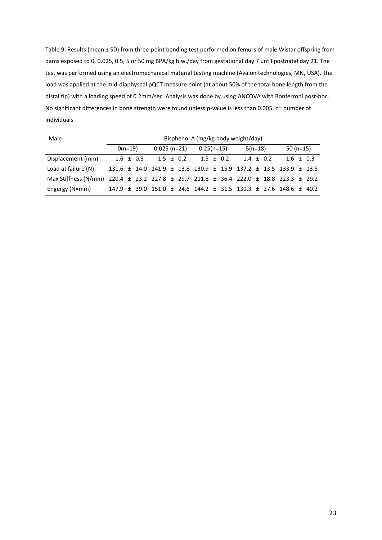Table 9. Results (mean ± SD) from three-point bending test performed on femurs of male Wistar offspring from dams exposed to 0, 0.025, 0.5, 5 or 50 mg BPA/kg b.w./day from gestational day 7 until postnatal day 21. The test was performed using an electromechanical material testing machine (Avalon technologies, MN, USA). The load was applied at the mid-diaphyseal pQCT measure point (at about 50% of the total bone length from the distal tip) with a loading speed of 0.2mm/sec. Analysis was done by using ANCOVA with Bonferroni post-hoc. No significant differences in bone strength were found unless p-value is less than 0.005. n= number of individuals.

| Male                                                                                  |           | Bisphenol A (mg/kg body weight/day)                                                  |               |  |  |               |  |  |             |  |           |             |  |  |  |
|---------------------------------------------------------------------------------------|-----------|--------------------------------------------------------------------------------------|---------------|--|--|---------------|--|--|-------------|--|-----------|-------------|--|--|--|
|                                                                                       | $O(n=19)$ |                                                                                      | $0.025(n=21)$ |  |  | $0.25(n=15)$  |  |  | $5(n=18)$   |  | 50 (n=15) |             |  |  |  |
| Displacement (mm)                                                                     |           | $1.6 \pm 0.3$                                                                        | $1.5 \pm 0.2$ |  |  | $1.5 \pm 0.2$ |  |  | $1.4 + 0.2$ |  |           | $1.6 + 0.3$ |  |  |  |
| Load at failure (N)                                                                   |           | $131.6 \pm 14.0$ $141.9 \pm 13.8$ $130.9 \pm 15.9$ $137.2 \pm 13.5$ $133.9 \pm 13.5$ |               |  |  |               |  |  |             |  |           |             |  |  |  |
| Max Stiffness (N/mm) 220.4 ± 23.2 227.8 ± 29.7 211.8 ± 36.4 222.0 ± 18.8 223.3 ± 29.2 |           |                                                                                      |               |  |  |               |  |  |             |  |           |             |  |  |  |
| Engergy (N×mm)                                                                        |           | 147.9 ± 39.0 151.0 ± 24.6 144.2 ± 31.5 139.3 ± 27.6 148.6 ± 40.2                     |               |  |  |               |  |  |             |  |           |             |  |  |  |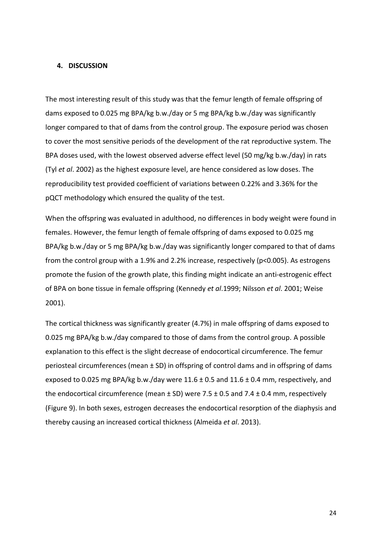#### <span id="page-24-0"></span>**4. DISCUSSION**

The most interesting result of this study was that the femur length of female offspring of dams exposed to 0.025 mg BPA/kg b.w./day or 5 mg BPA/kg b.w./day was significantly longer compared to that of dams from the control group. The exposure period was chosen to cover the most sensitive periods of the development of the rat reproductive system. The BPA doses used, with the lowest observed adverse effect level (50 mg/kg b.w./day) in rats (Tyl *et al*. 2002) as the highest exposure level, are hence considered as low doses. The reproducibility test provided coefficient of variations between 0.22% and 3.36% for the pQCT methodology which ensured the quality of the test.

When the offspring was evaluated in adulthood, no differences in body weight were found in females. However, the femur length of female offspring of dams exposed to 0.025 mg BPA/kg b.w./day or 5 mg BPA/kg b.w./day was significantly longer compared to that of dams from the control group with a 1.9% and 2.2% increase, respectively (p<0.005). As estrogens promote the fusion of the growth plate, this finding might indicate an anti-estrogenic effect of BPA on bone tissue in female offspring (Kennedy *et al*.1999; Nilsson *et al*. 2001; Weise 2001).

The cortical thickness was significantly greater (4.7%) in male offspring of dams exposed to 0.025 mg BPA/kg b.w./day compared to those of dams from the control group. A possible explanation to this effect is the slight decrease of endocortical circumference. The femur periosteal circumferences (mean ± SD) in offspring of control dams and in offspring of dams exposed to 0.025 mg BPA/kg b.w./day were  $11.6 \pm 0.5$  and  $11.6 \pm 0.4$  mm, respectively, and the endocortical circumference (mean  $\pm$  SD) were 7.5  $\pm$  0.5 and 7.4  $\pm$  0.4 mm, respectively (Figure 9). In both sexes, estrogen decreases the endocortical resorption of the diaphysis and thereby causing an increased cortical thickness (Almeida *et al*. 2013).

24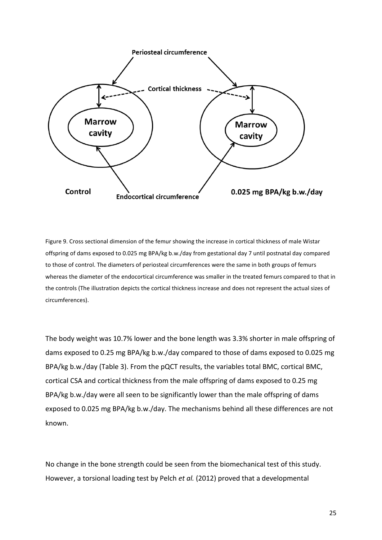

Figure 9. Cross sectional dimension of the femur showing the increase in cortical thickness of male Wistar offspring of dams exposed to 0.025 mg BPA/kg b.w./day from gestational day 7 until postnatal day compared to those of control. The diameters of periosteal circumferences were the same in both groups of femurs whereas the diameter of the endocortical circumference was smaller in the treated femurs compared to that in the controls (The illustration depicts the cortical thickness increase and does not represent the actual sizes of circumferences).

The body weight was 10.7% lower and the bone length was 3.3% shorter in male offspring of dams exposed to 0.25 mg BPA/kg b.w./day compared to those of dams exposed to 0.025 mg BPA/kg b.w./day (Table 3). From the pQCT results, the variables total BMC, cortical BMC, cortical CSA and cortical thickness from the male offspring of dams exposed to 0.25 mg BPA/kg b.w./day were all seen to be significantly lower than the male offspring of dams exposed to 0.025 mg BPA/kg b.w./day. The mechanisms behind all these differences are not known.

No change in the bone strength could be seen from the biomechanical test of this study. However, a torsional loading test by Pelch *et al.* (2012) proved that a developmental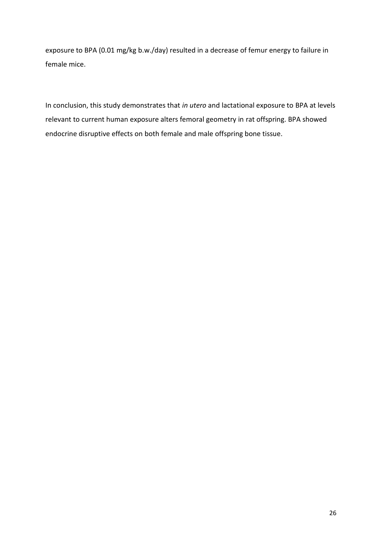exposure to BPA (0.01 mg/kg b.w./day) resulted in a decrease of femur energy to failure in female mice.

In conclusion, this study demonstrates that *in utero* and lactational exposure to BPA at levels relevant to current human exposure alters femoral geometry in rat offspring. BPA showed endocrine disruptive effects on both female and male offspring bone tissue.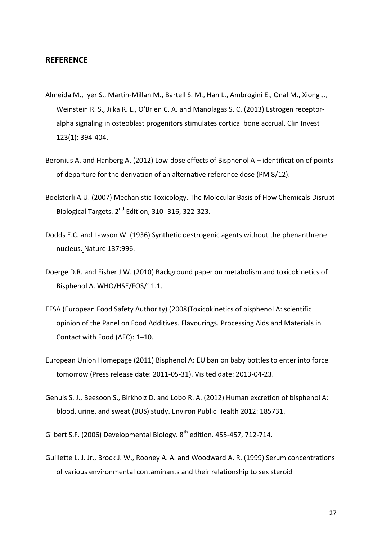## <span id="page-27-0"></span>**REFERENCE**

- Almeida M., Iyer S., Martin-Millan M., Bartell S. M., Han L., Ambrogini E., Onal M., Xiong J., Weinstein R. S., Jilka R. L., O'Brien C. A. and Manolagas S. C. (2013) Estrogen receptoralpha signaling in osteoblast progenitors stimulates cortical bone accrual. Clin Invest 123(1): 394-404.
- Beronius A. and Hanberg A. (2012) Low-dose effects of Bisphenol A identification of points of departure for the derivation of an alternative reference dose (PM 8/12).
- Boelsterli A.U. (2007) Mechanistic Toxicology. The Molecular Basis of How Chemicals Disrupt Biological Targets. 2<sup>nd</sup> Edition, 310-316, 322-323.
- Dodds E.C. and Lawson W. (1936) Synthetic oestrogenic agents without the phenanthrene nucleus. Nature 137:996.
- Doerge D.R. and Fisher J.W. (2010) Background paper on metabolism and toxicokinetics of Bisphenol A. WHO/HSE/FOS/11.1.
- EFSA (European Food Safety Authority) (2008)Toxicokinetics of bisphenol A: scientific opinion of the Panel on Food Additives. Flavourings. Processing Aids and Materials in Contact with Food (AFC): 1–10.
- European Union Homepage (2011) Bisphenol A: EU ban on baby bottles to enter into force tomorrow (Press release date: 2011-05-31). Visited date: 2013-04-23.
- Genuis S. J., Beesoon S., Birkholz D. and Lobo R. A. (2012) Human excretion of bisphenol A: blood. urine. and sweat (BUS) study. Environ Public Health 2012: 185731.
- Gilbert S.F. (2006) Developmental Biology. 8<sup>th</sup> edition. 455-457, 712-714.
- Guillette L. J. Jr., Brock J. W., Rooney A. A. and Woodward A. R. (1999) Serum concentrations of various environmental contaminants and their relationship to sex steroid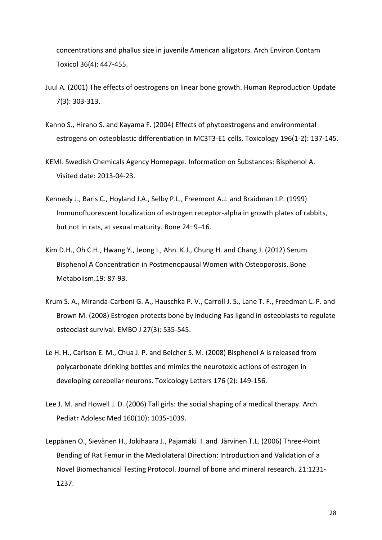concentrations and phallus size in juvenile American alligators. Arch Environ Contam Toxicol 36(4): 447-455.

- Juul A. (2001) The effects of oestrogens on linear bone growth. Human Reproduction Update 7(3): 303-313.
- Kanno S., Hirano S. and Kayama F. (2004) Effects of phytoestrogens and environmental estrogens on osteoblastic differentiation in MC3T3-E1 cells. Toxicology 196(1-2): 137-145.
- KEMI. Swedish Chemicals Agency Homepage. Information on Substances: Bisphenol A. Visited date: 2013-04-23.
- Kennedy J., Baris C., Hoyland J.A., Selby P.L., Freemont A.J. and Braidman I.P. (1999) Immunofluorescent localization of estrogen receptor-alpha in growth plates of rabbits, but not in rats, at sexual maturity. Bone 24: 9–16.
- Kim D.H., Oh C.H., Hwang Y., Jeong I., Ahn. K.J., Chung H. and Chang J. (2012) Serum Bisphenol A Concentration in Postmenopausal Women with Osteoporosis. Bone Metabolism.19: 87-93.
- Krum S. A., Miranda-Carboni G. A., Hauschka P. V., Carroll J. S., Lane T. F., Freedman L. P. and Brown M. (2008) Estrogen protects bone by inducing Fas ligand in osteoblasts to regulate osteoclast survival. EMBO J 27(3): 535-545.
- Le H. H., Carlson E. M., Chua J. P. and Belcher S. M. (2008) Bisphenol A is released from polycarbonate drinking bottles and mimics the neurotoxic actions of estrogen in developing cerebellar neurons. Toxicology Letters 176 (2): 149-156.
- Lee J. M. and Howell J. D. (2006) Tall girls: the social shaping of a medical therapy. Arch Pediatr Adolesc Med 160(10): 1035-1039.
- Leppänen O., Sievänen H., Jokihaara J., Pajamäki I. and Järvinen T.L. (2006) Three-Point Bending of Rat Femur in the Mediolateral Direction: Introduction and Validation of a Novel Biomechanical Testing Protocol. Journal of bone and mineral research. 21:1231- 1237.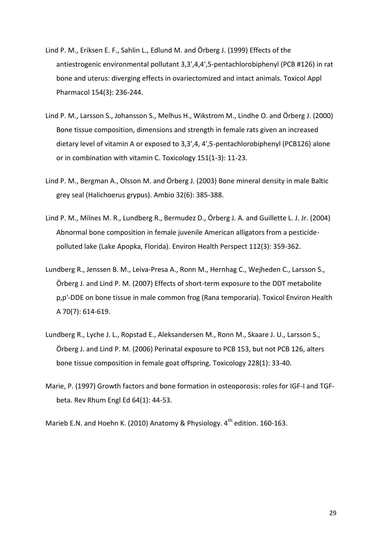- Lind P. M., Eriksen E. F., Sahlin L., Edlund M. and Örberg J. (1999) Effects of the antiestrogenic environmental pollutant 3,3',4,4',5-pentachlorobiphenyl (PCB #126) in rat bone and uterus: diverging effects in ovariectomized and intact animals. Toxicol Appl Pharmacol 154(3): 236-244.
- Lind P. M., Larsson S., Johansson S., Melhus H., Wikstrom M., Lindhe O. and Örberg J. (2000) Bone tissue composition, dimensions and strength in female rats given an increased dietary level of vitamin A or exposed to 3,3',4, 4',5-pentachlorobiphenyl (PCB126) alone or in combination with vitamin C. Toxicology 151(1-3): 11-23.
- Lind P. M., Bergman A., Olsson M. and Örberg J. (2003) Bone mineral density in male Baltic grey seal (Halichoerus grypus). Ambio 32(6): 385-388.
- Lind P. M., Milnes M. R., Lundberg R., Bermudez D., Örberg J. A. and Guillette L. J. Jr. (2004) Abnormal bone composition in female juvenile American alligators from a pesticidepolluted lake (Lake Apopka, Florida). Environ Health Perspect 112(3): 359-362.
- Lundberg R., Jenssen B. M., Leiva-Presa A., Ronn M., Hernhag C., Wejheden C., Larsson S., Örberg J. and Lind P. M. (2007) Effects of short-term exposure to the DDT metabolite p,p'-DDE on bone tissue in male common frog (Rana temporaria). Toxicol Environ Health A 70(7): 614-619.
- Lundberg R., Lyche J. L., Ropstad E., Aleksandersen M., Ronn M., Skaare J. U., Larsson S., Örberg J. and Lind P. M. (2006) Perinatal exposure to PCB 153, but not PCB 126, alters bone tissue composition in female goat offspring. Toxicology 228(1): 33-40.
- Marie, P. (1997) Growth factors and bone formation in osteoporosis: roles for IGF-I and TGFbeta. Rev Rhum Engl Ed 64(1): 44-53.

Marieb E.N. and Hoehn K. (2010) Anatomy & Physiology.  $4^{th}$  edition. 160-163.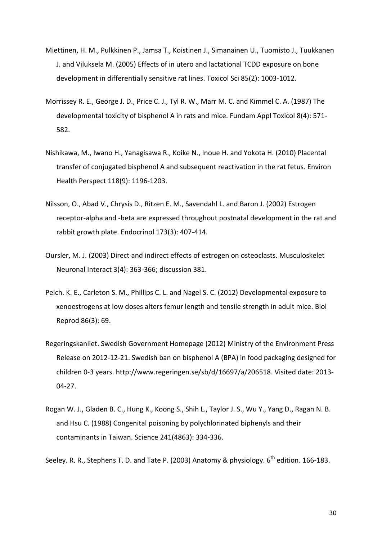- Miettinen, H. M., Pulkkinen P., Jamsa T., Koistinen J., Simanainen U., Tuomisto J., Tuukkanen J. and Viluksela M. (2005) Effects of in utero and lactational TCDD exposure on bone development in differentially sensitive rat lines. Toxicol Sci 85(2): 1003-1012.
- Morrissey R. E., George J. D., Price C. J., Tyl R. W., Marr M. C. and Kimmel C. A. (1987) The developmental toxicity of bisphenol A in rats and mice. Fundam Appl Toxicol 8(4): 571- 582.
- Nishikawa, M., Iwano H., Yanagisawa R., Koike N., Inoue H. and Yokota H. (2010) Placental transfer of conjugated bisphenol A and subsequent reactivation in the rat fetus. Environ Health Perspect 118(9): 1196-1203.
- Nilsson, O., Abad V., Chrysis D., Ritzen E. M., Savendahl L. and Baron J. (2002) Estrogen receptor-alpha and -beta are expressed throughout postnatal development in the rat and rabbit growth plate. Endocrinol 173(3): 407-414.
- Oursler, M. J. (2003) Direct and indirect effects of estrogen on osteoclasts. Musculoskelet Neuronal Interact 3(4): 363-366; discussion 381.
- Pelch. K. E., Carleton S. M., Phillips C. L. and Nagel S. C. (2012) Developmental exposure to xenoestrogens at low doses alters femur length and tensile strength in adult mice. Biol Reprod 86(3): 69.
- Regeringskanliet. Swedish Government Homepage (2012) Ministry of the Environment Press Release on 2012-12-21. Swedish ban on bisphenol A (BPA) in food packaging designed for children 0-3 years. [http://www.regeringen.se/sb/d/16697/a/206518.](http://www.regeringen.se/sb/d/16697/a/206518) Visited date: 2013- 04-27.
- Rogan W. J., Gladen B. C., Hung K., Koong S., Shih L., Taylor J. S., Wu Y., Yang D., Ragan N. B. and Hsu C. (1988) Congenital poisoning by polychlorinated biphenyls and their contaminants in Taiwan. Science 241(4863): 334-336.

Seeley. R. R., Stephens T. D. and Tate P. (2003) Anatomy & physiology. 6<sup>th</sup> edition. 166-183.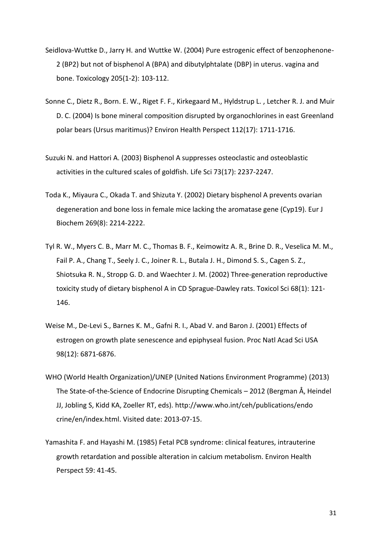- Seidlova-Wuttke D., Jarry H. and Wuttke W. (2004) Pure estrogenic effect of benzophenone-2 (BP2) but not of bisphenol A (BPA) and dibutylphtalate (DBP) in uterus. vagina and bone. Toxicology 205(1-2): 103-112.
- Sonne C., Dietz R., Born. E. W., Riget F. F., Kirkegaard M., Hyldstrup L. , Letcher R. J. and Muir D. C. (2004) Is bone mineral composition disrupted by organochlorines in east Greenland polar bears (Ursus maritimus)? Environ Health Perspect 112(17): 1711-1716.
- Suzuki N. and Hattori A. (2003) Bisphenol A suppresses osteoclastic and osteoblastic activities in the cultured scales of goldfish. Life Sci 73(17): 2237-2247.
- Toda K., Miyaura C., Okada T. and Shizuta Y. (2002) Dietary bisphenol A prevents ovarian degeneration and bone loss in female mice lacking the aromatase gene (Cyp19). Eur J Biochem 269(8): 2214-2222.
- Tyl R. W., Myers C. B., Marr M. C., Thomas B. F., Keimowitz A. R., Brine D. R., Veselica M. M., Fail P. A., Chang T., Seely J. C., Joiner R. L., Butala J. H., Dimond S. S., Cagen S. Z., Shiotsuka R. N., Stropp G. D. and Waechter J. M. (2002) Three-generation reproductive toxicity study of dietary bisphenol A in CD Sprague-Dawley rats. Toxicol Sci 68(1): 121- 146.
- Weise M., De-Levi S., Barnes K. M., Gafni R. I., Abad V. and Baron J. (2001) Effects of estrogen on growth plate senescence and epiphyseal fusion. Proc Natl Acad Sci USA 98(12): 6871-6876.
- WHO (World Health Organization)/UNEP (United Nations Environment Programme) (2013) The State-of-the-Science of Endocrine Disrupting Chemicals – 2012 (Bergman Å, Heindel JJ, Jobling S, Kidd KA, Zoeller RT, eds). [http://www.who.int/ceh/publications/endo](http://www.who.int/ceh/publications/endo​crine/en/index.html) [crine/en/index.html.](http://www.who.int/ceh/publications/endo​crine/en/index.html) Visited date: 2013-07-15.
- Yamashita F. and Hayashi M. (1985) Fetal PCB syndrome: clinical features, intrauterine growth retardation and possible alteration in calcium metabolism. Environ Health Perspect 59: 41-45.